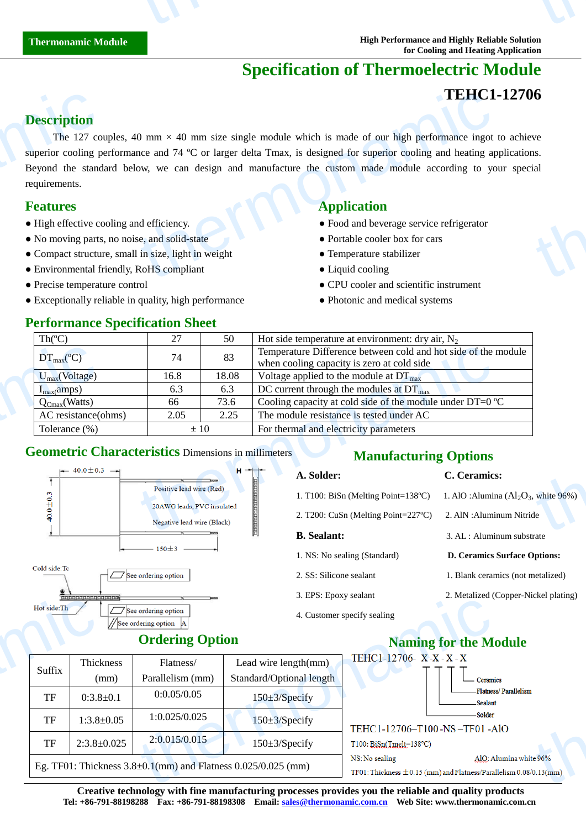# **Specification of Thermoelectric Module**

### **TEHC1-12706**

### **Description**

The 127 couples, 40 mm  $\times$  40 mm size single module which is made of our high performance ingot to achieve superior cooling performance and 74  $\mathbb C$  or larger delta Tmax, is designed for superior cooling and heating applications. Beyond the standard below, we can design and manufacture the custom made module according to your special requirements. **Description**<br>The 127 co<br>superior cooling p<br>Beyond the stand<br>requirements.<br>**Features**<br>• High effective co<br>• No moving parts<br>• Compact structu<br>• Environmental f **TEHC1**<br>
0 mm × 40 mm size single module which is made of our high performance ingot<br>
nce and 74 °C or larger delta Tmax, is designed for superior cooling and heating ap<br>
ow, we can design and manufacture the custom made thermon<br>
the size of the size of the size of the size of the size of the size of the size of the size of the size of the size of the size of the size of the size of the size of the size of the size of the size of the size

### **Features Application**

- High effective cooling and efficiency. Food and beverage service refrigerator
- No moving parts, no noise, and solid-state Portable cooler box for cars
- Compact structure, small in size, light in weight **•** Temperature stabilizer
- Environmental friendly, RoHS compliant Liquid cooling

**Performance Specification Sheet** 

- 
- Exceptionally reliable in quality, high performance Photonic and medical systems

- 
- 
- 
- 
- Precise temperature control CPU cooler and scientific instrument
	-

| Th $(C)$                                                   |                                                          |       | Hot side temperature at environment: dry air, $N_2$                                                          |                                         |  |
|------------------------------------------------------------|----------------------------------------------------------|-------|--------------------------------------------------------------------------------------------------------------|-----------------------------------------|--|
| $DT_{\text{max}}(C)$                                       | 74                                                       | 83    | Temperature Difference between cold and hot side of the module<br>when cooling capacity is zero at cold side |                                         |  |
| $U_{max}(Voltage)$                                         | 16.8                                                     | 18.08 | Voltage applied to the module at $DT_{\text{max}}$                                                           |                                         |  |
| $I_{max}(amps)$                                            | 6.3                                                      | 6.3   | DC current through the modules at $DT_{\text{max}}$                                                          |                                         |  |
| $Q_{Cmax}(Watts)$                                          | 66                                                       | 73.6  | Cooling capacity at cold side of the module under DT=0 $\mathbb{C}$                                          |                                         |  |
|                                                            |                                                          | 2.25  | The module resistance is tested under AC                                                                     |                                         |  |
| AC resistance(ohms)                                        | 2.05                                                     |       |                                                                                                              |                                         |  |
| Tolerance (%)                                              | $\pm 10$                                                 |       | For thermal and electricity parameters                                                                       |                                         |  |
| <b>Geometric Characteristics Dimensions in millimeters</b> |                                                          |       | <b>Manufacturing Options</b>                                                                                 |                                         |  |
| $\leftarrow$ 40.0 ± 0.3 $\rightarrow$                      |                                                          |       | $H \rightarrow +$<br>A. Solder:                                                                              | C. Ceramics:                            |  |
|                                                            | Positive lead wire (Red)                                 |       | 1. T100: BiSn (Melting Point=138 $\mathbb{C}$ )                                                              | 1. AlO : Alumina $(Al_2O_3,$ white 96%) |  |
|                                                            | 20AWG leads, PVC insulated<br>Negative lead wire (Black) |       | 2. T200: CuSn (Melting Point=227 $\mathbb{C}$ )                                                              | 2. AIN : Aluminum Nitride               |  |

### **Geometric Characteristics** Dimensions in millimeters





Thickness (mm)

TF  $0:3.8 \pm 0.1$ 

Suffix

### **Ordering Option**

## **Manufacturing Options**

#### **A. Solder: C. Ceramics:**

- 1. T100: BiSn (Melting Point=138 °C) 1. AlO :Alumina (Al<sub>2</sub>O<sub>3</sub>, white 96%)
- 2. T200: CuSn (Melting Point=227 °C) 2. AlN : Aluminum Nitride

#### **B.** Sealant: 3. AL : Aluminum substrate

- 1. NS: No sealing (Standard) **D. Ceramics Surface Options:**
- 2. SS: Silicone sealant 1. Blank ceramics (not metalized)
- 3. EPS: Epoxy sealant 2. Metalized (Copper-Nickel plating)
- 4. Customer specify sealing

|                                  | $\sigma$ . $\Delta t$ is $\Delta t$ is because the set of $\sigma$ |                             | $\epsilon$ . Mean $\epsilon$ (copper Fuence plaints)                                             |
|----------------------------------|--------------------------------------------------------------------|-----------------------------|--------------------------------------------------------------------------------------------------|
| ordering option<br>dering option |                                                                    | 4. Customer specify sealing |                                                                                                  |
| <b>Ordering Option</b>           |                                                                    |                             | <b>Naming for the Module</b>                                                                     |
| Flatness/                        | Lead wire length(mm)                                               | TEHC1-12706- X-X-X-X        |                                                                                                  |
| Parallelism (mm)                 | Standard/Optional length                                           |                             | Ceramics                                                                                         |
| 0:0.05/0.05                      | $150 \pm 3$ /Specify                                               |                             | Flatness/Parallelism<br><b>Sealant</b>                                                           |
| 1:0.025/0.025                    | $150 \pm 3$ /Specify                                               |                             | -Solder<br>TEHC1-12706-T100-NS-TF01-AlO                                                          |
| 2:0.015/0.015                    | $150 \pm 3$ /Specify                                               | $T100: BiSn(Tmelt=138°C)$   |                                                                                                  |
|                                  | $\pm 0.1$ (mm) and Flatness 0.025/0.025 (mm)                       | NS: No sealing              | AlO: Alumina white 96%<br>TF01: Thickness $\pm$ 0.15 (mm) and Flatness/Parallelism 0.08/0.13(mm) |

**Creative technology with fine manufacturing processes provides you the reliable and quality products Tel: +86-791-88198288 Fax: +86-791-88198308 Email: sales@thermonamic.com.cn Web Site: www.thermonamic.com.cn** TF 1:3.8 $\pm$ 0.05 1:0.025/0.025 150 $\pm$ 3/Specify TF 2:3.8 $\pm$ 0.025 2:0.015/0.015 150 $\pm$ 3/Sp Eg. TF01: Thickness  $3.8 \pm 0.1$ (mm) and Flatness  $0.025/0.025$  (mm) Hot side:Th<br>
Suffix Thick<br>
TF 0:3.8<br>
TF 1:3.8<br>
TF 2:3.8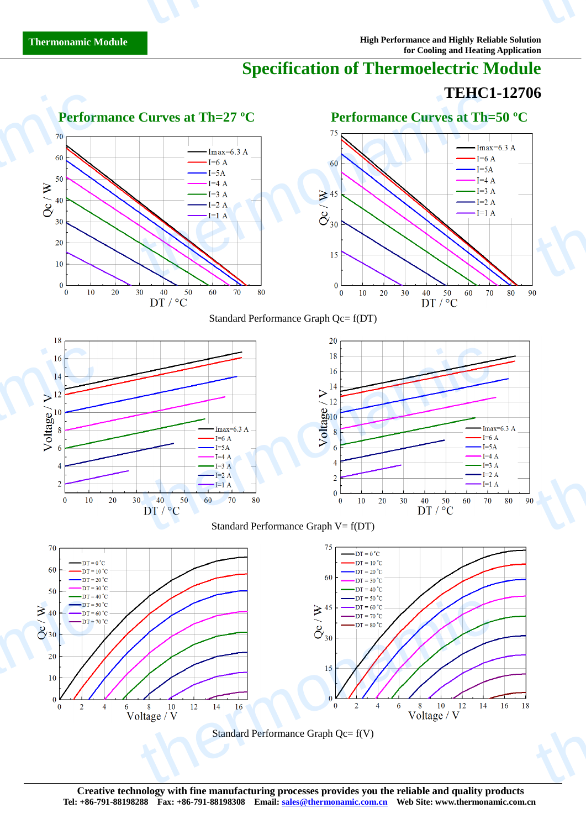# **Specification of Thermoelectric Module**

## **TEHC1-12706**